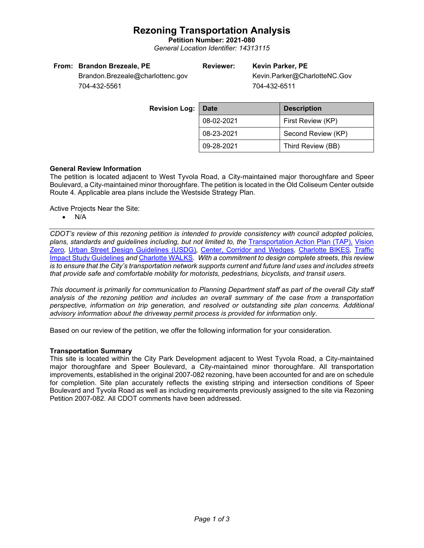# **Rezoning Transportation Analysis**

**Petition Number: 2021-080** *General Location Identifier: 14313115*

| From: Brandon Brezeale, PE |  |  |
|----------------------------|--|--|
|----------------------------|--|--|

## **Reviewer: Kevin Parker, PE**

Kevin.Parker@CharlotteNC.Gov 704-432-6511

Brandon.Brezeale@charlottenc.gov 704-432-5561

| <b>Revision Log:</b> | Date       | <b>Description</b> |  |  |
|----------------------|------------|--------------------|--|--|
|                      | 08-02-2021 | First Review (KP)  |  |  |
|                      | 08-23-2021 | Second Review (KP) |  |  |
|                      | 09-28-2021 | Third Review (BB)  |  |  |

## **General Review Information**

The petition is located adjacent to West Tyvola Road, a City-maintained major thoroughfare and Speer Boulevard, a City-maintained minor thoroughfare. The petition is located in the Old Coliseum Center outside Route 4. Applicable area plans include the Westside Strategy Plan.

Active Projects Near the Site:

• N/A

*CDOT's review of this rezoning petition is intended to provide consistency with council adopted policies, plans, standards and guidelines including, but not limited to, the* [Transportation Action Plan \(TAP\),](https://charlottenc.gov/Transportation/Programs/Pages/TransportationActionPlan.aspx) [Vision](https://charlottenc.gov/VisionZero/Pages/VisionZero.aspx)  [Zero](https://charlottenc.gov/VisionZero/Pages/VisionZero.aspx)*,* [Urban Street Design Guidelines \(USDG\)](https://charlottenc.gov/Transportation/PlansProjects/Documents/USDG%20Full%20Document.pdf)*,* [Center, Corridor and](http://ww.charmeck.org/Planning/Land%20Use%20Planning/CentersCorridorsWedges/CentersCorridorsWedges(Adopted).pdf) Wedges*,* [Charlotte BIKES](https://charlottenc.gov/Transportation/Programs/Pages/Bicycle.aspx)*,* [Traffic](https://charlottenc.gov/Transportation/Permits/Documents/TISProcessandGuildlines.pdf)  [Impact Study Guidelines](https://charlottenc.gov/Transportation/Permits/Documents/TISProcessandGuildlines.pdf) *and* [Charlotte WALKS](https://charlottenc.gov/Transportation/Programs/Pages/CharlotteWalks.aspx)*. With a commitment to design complete streets, this review is to ensure that the City's transportation network supports current and future land uses and includes streets that provide safe and comfortable mobility for motorists, pedestrians, bicyclists, and transit users.*

*This document is primarily for communication to Planning Department staff as part of the overall City staff analysis of the rezoning petition and includes an overall summary of the case from a transportation perspective, information on trip generation, and resolved or outstanding site plan concerns. Additional advisory information about the driveway permit process is provided for information only.*

Based on our review of the petition, we offer the following information for your consideration.

### **Transportation Summary**

This site is located within the City Park Development adjacent to West Tyvola Road, a City-maintained major thoroughfare and Speer Boulevard, a City-maintained minor thoroughfare. All transportation improvements, established in the original 2007-082 rezoning, have been accounted for and are on schedule for completion. Site plan accurately reflects the existing striping and intersection conditions of Speer Boulevard and Tyvola Road as well as including requirements previously assigned to the site via Rezoning Petition 2007-082. All CDOT comments have been addressed.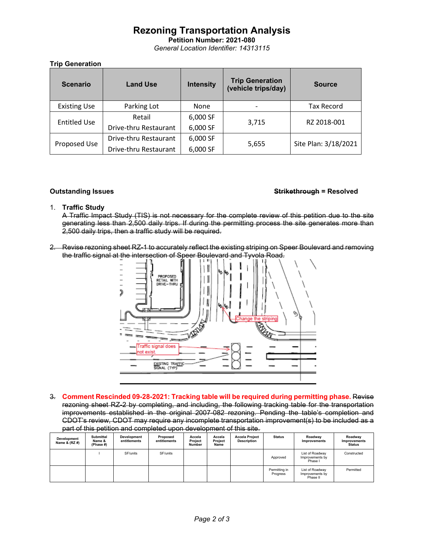# **Rezoning Transportation Analysis**

**Petition Number: 2021-080** *General Location Identifier: 14313115*

## **Trip Generation**

| <b>Scenario</b>     | <b>Land Use</b>       | <b>Intensity</b> | <b>Trip Generation</b><br>(vehicle trips/day) | <b>Source</b>        |
|---------------------|-----------------------|------------------|-----------------------------------------------|----------------------|
| <b>Existing Use</b> | Parking Lot           | <b>None</b>      |                                               | <b>Tax Record</b>    |
| <b>Entitled Use</b> | Retail                | 6,000 SF         | RZ 2018-001                                   |                      |
|                     | Drive-thru Restaurant | 6,000 SF         | 3,715                                         |                      |
| Proposed Use        | Drive-thru Restaurant | 6,000 SF         | 5,655                                         | Site Plan: 3/18/2021 |
|                     | Drive-thru Restaurant | 6,000 SF         |                                               |                      |

### **Outstanding Issues Strikethrough = Resolved**

### 1. **Traffic Study**

A Traffic Impact Study (TIS) is not necessary for the complete review of this petition due to the site generating less than 2,500 daily trips. If during the permitting process the site generates more than 2,500 daily trips, then a traffic study will be required.

2. Revise rezoning sheet RZ-1 to accurately reflect the existing striping on Speer Boulevard and removing the traffic signal at the intersection of Speer Boulevard and Tyvola Road.



3. **Comment Rescinded 09-28-2021: Tracking table will be required during permitting phase.** Revise rezoning sheet RZ-2 by completing, and including, the following tracking table for the transportation improvements established in the original 2007-082 rezoning. Pending the table's completion and CDOT's review, CDOT may require any incomplete transportation improvement(s) to be included as a part of this petition and completed upon development of this site.

| Development<br>Name & (RZ #) | <b>Submittal</b><br>Name &<br>(Phase #) | Development<br>entitlements | Proposed<br>entitlements | Accela<br>Project<br>Number | Accela<br>Project<br>Name | <b>Accela Project</b><br><b>Description</b> | <b>Status</b>             | Roadway<br><b>Improvements</b>                 | Roadway<br>Improvements<br><b>Status</b> |
|------------------------------|-----------------------------------------|-----------------------------|--------------------------|-----------------------------|---------------------------|---------------------------------------------|---------------------------|------------------------------------------------|------------------------------------------|
|                              |                                         | SF/units                    | SF/units                 |                             |                           |                                             | Approved                  | List of Roadway<br>Improvements by<br>Phase I  | Constructed                              |
|                              |                                         |                             |                          |                             |                           |                                             | Permitting in<br>Progress | List of Roadway<br>Improvements by<br>Phase II | Permitted                                |